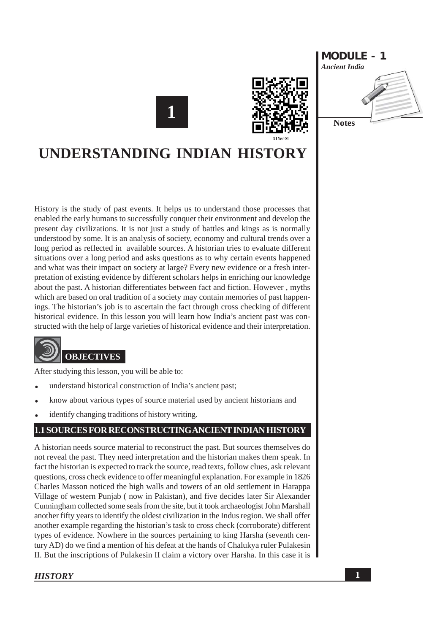





# **UNDERSTANDING INDIAN HISTORY**

History is the study of past events. It helps us to understand those processes that enabled the early humans to successfully conquer their environment and develop the present day civilizations. It is not just a study of battles and kings as is normally understood by some. It is an analysis of society, economy and cultural trends over a long period as reflected in available sources. A historian tries to evaluate different situations over a long period and asks questions as to why certain events happened and what was their impact on society at large? Every new evidence or a fresh interpretation of existing evidence by different scholars helps in enriching our knowledge about the past. A historian differentiates between fact and fiction. However, myths which are based on oral tradition of a society may contain memories of past happenings. The historian's job is to ascertain the fact through cross checking of different historical evidence. In this lesson you will learn how India's ancient past was constructed with the help of large varieties of historical evidence and their interpretation.



After studying this lesson, you will be able to:

- understand historical construction of India's ancient past;
- know about various types of source material used by ancient historians and
- identify changing traditions of history writing.

### 1.1 SOURCES FOR RECONSTRUCTING ANCIENT INDIAN HISTORY

A historian needs source material to reconstruct the past. But sources themselves do not reveal the past. They need interpretation and the historian makes them speak. In fact the historian is expected to track the source, read texts, follow clues, ask relevant questions, cross check evidence to offer meaningful explanation. For example in 1826 Charles Masson noticed the high walls and towers of an old settlement in Harappa Village of western Punjab (now in Pakistan), and five decides later Sir Alexander Cunningham collected some seals from the site, but it took archaeologist John Marshall another fifty years to identify the oldest civilization in the Indus region. We shall offer another example regarding the historian's task to cross check (corroborate) different types of evidence. Nowhere in the sources pertaining to king Harsha (seventh century AD) do we find a mention of his defeat at the hands of Chalukya ruler Pulakesin II. But the inscriptions of Pulakesin II claim a victory over Harsha. In this case it is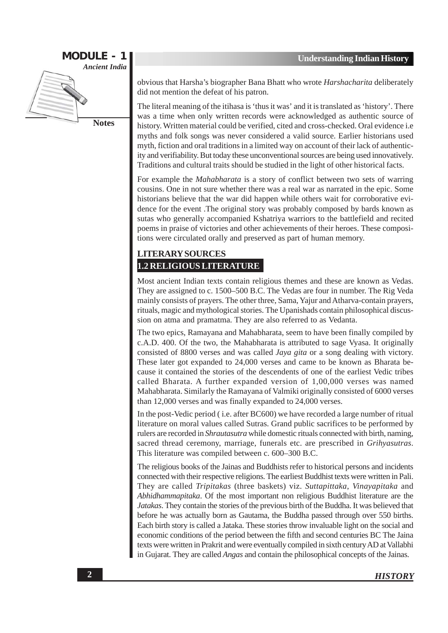

obvious that Harsha's biographer Bana Bhatt who wrote Harshacharita deliberately did not mention the defeat of his patron.

The literal meaning of the itihasa is 'thus it was' and it is translated as 'history'. There was a time when only written records were acknowledged as authentic source of history. Written material could be verified, cited and cross-checked. Oral evidence i.e. myths and folk songs was never considered a valid source. Earlier historians used myth, fiction and oral traditions in a limited way on account of their lack of authenticity and verifiability. But today these unconventional sources are being used innovatively. Traditions and cultural traits should be studied in the light of other historical facts.

For example the *Mahabharata* is a story of conflict between two sets of warring cousins. One in not sure whether there was a real war as narrated in the epic. Some historians believe that the war did happen while others wait for corroborative evidence for the event. The original story was probably composed by bards known as sutas who generally accompanied Kshatriya warriors to the battlefield and recited poems in praise of victories and other achievements of their heroes. These compositions were circulated orally and preserved as part of human memory.

#### **LITERARY SOURCES 1.2 RELIGIOUS LITERATURE**

Most ancient Indian texts contain religious themes and these are known as Vedas. They are assigned to c. 1500–500 B.C. The Vedas are four in number. The Rig Veda mainly consists of prayers. The other three, Sama, Yajur and Atharva-contain prayers, rituals, magic and mythological stories. The Upanishads contain philosophical discussion on atma and pramatma. They are also referred to as Vedanta.

The two epics, Ramayana and Mahabharata, seem to have been finally compiled by c.A.D. 400. Of the two, the Mahabharata is attributed to sage Vyasa. It originally consisted of 8800 verses and was called *Jaya gita* or a song dealing with victory. These later got expanded to 24,000 verses and came to be known as Bharata because it contained the stories of the descendents of one of the earliest Vedic tribes called Bharata. A further expanded version of 1,00,000 verses was named Mahabharata. Similarly the Ramayana of Valmiki originally consisted of 6000 verses than 12,000 verses and was finally expanded to 24,000 verses.

In the post-Vedic period (i.e. after BC600) we have recorded a large number of ritual literature on moral values called Sutras. Grand public sacrifices to be performed by rulers are recorded in *Shrautasutra* while domestic rituals connected with birth, naming, sacred thread ceremony, marriage, funerals etc. are prescribed in Grihvasutras. This literature was compiled between c. 600–300 B.C.

The religious books of the Jainas and Buddhists refer to historical persons and incidents connected with their respective religions. The earliest Buddhist texts were written in Pali. They are called Tripitakas (three baskets) viz. Suttapittaka, Vinayapitaka and Abhidhammapitaka. Of the most important non religious Buddhist literature are the Jatakas. They contain the stories of the previous birth of the Buddha. It was believed that before he was actually born as Gautama, the Buddha passed through over 550 births. Each birth story is called a Jataka. These stories throw invaluable light on the social and economic conditions of the period between the fifth and second centuries BC The Jaina texts were written in Prakrit and were eventually compiled in sixth century AD at Vallabhi in Gujarat. They are called *Angas* and contain the philosophical concepts of the Jainas.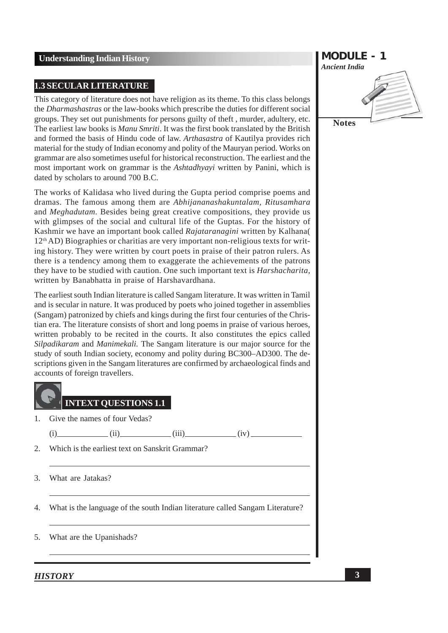#### **1.3 SECULAR LITERATURE**

This category of literature does not have religion as its theme. To this class belongs the *Dharmashastras* or the law-books which prescribe the duties for different social groups. They set out punishments for persons guilty of theft, murder, adultery, etc. The earliest law books is *Manu Smriti*. It was the first book translated by the British and formed the basis of Hindu code of law. Arthasastra of Kautilya provides rich material for the study of Indian economy and polity of the Mauryan period. Works on grammar are also sometimes useful for historical reconstruction. The earliest and the most important work on grammar is the *Ashtadhyayi* written by Panini, which is dated by scholars to around 700 B.C.

The works of Kalidasa who lived during the Gupta period comprise poems and dramas. The famous among them are *Abhijananashakuntalam. Ritusamhara* and Meghadutam. Besides being great creative compositions, they provide us with glimpses of the social and cultural life of the Guptas. For the history of Kashmir we have an important book called Rajataranagini written by Kalhana( 12<sup>th</sup> AD) Biographies or charitias are very important non-religious texts for writing history. They were written by court poets in praise of their patron rulers. As there is a tendency among them to exaggerate the achievements of the patrons they have to be studied with caution. One such important text is *Harshacharita*, written by Banabhatta in praise of Harshavardhana.

The earliest south Indian literature is called Sangam literature. It was written in Tamil and is secular in nature. It was produced by poets who joined together in assemblies (Sangam) patronized by chiefs and kings during the first four centuries of the Christian era. The literature consists of short and long poems in praise of various heroes, written probably to be recited in the courts. It also constitutes the epics called Silpadikaram and Manimekali. The Sangam literature is our major source for the study of south Indian society, economy and polity during BC300–AD300. The descriptions given in the Sangam literatures are confirmed by archaeological finds and accounts of foreign travellers.



- Give the names of four Vedas?  $\mathbf{1}$ 
	- $(i)$  $(iii)$

 $(iii)$   $(iv)$ 

 $\overline{2}$ . Which is the earliest text on Sanskrit Grammar?

What are Jatakas? 3.

What is the language of the south Indian literature called Sangam Literature? 4.

#### What are the Upanishads? 5.

# **MODULE - 1 Ancient India Notes**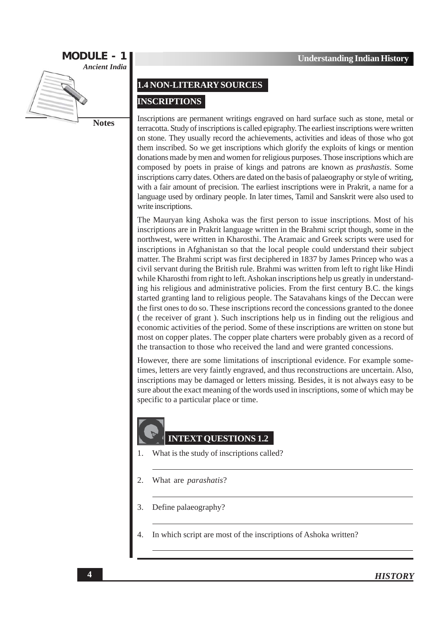

**Notes** 

#### 1.4 NON-LITERARY SOURCES

#### **INSCRIPTIONS**

Inscriptions are permanent writings engraved on hard surface such as stone, metal or terracotta. Study of inscriptions is called epigraphy. The earliest inscriptions were written on stone. They usually record the achievements, activities and ideas of those who got them inscribed. So we get inscriptions which glorify the exploits of kings or mention donations made by men and women for religious purposes. Those inscriptions which are composed by poets in praise of kings and patrons are known as *prashastis*. Some inscriptions carry dates. Others are dated on the basis of palaeography or style of writing. with a fair amount of precision. The earliest inscriptions were in Prakrit, a name for a language used by ordinary people. In later times, Tamil and Sanskrit were also used to write inscriptions.

The Mauryan king Ashoka was the first person to issue inscriptions. Most of his inscriptions are in Prakrit language written in the Brahmi script though, some in the northwest, were written in Kharosthi. The Aramaic and Greek scripts were used for inscriptions in Afghanistan so that the local people could understand their subject matter. The Brahmi script was first deciphered in 1837 by James Princep who was a civil servant during the British rule. Brahmi was written from left to right like Hindi while Kharosthi from right to left. Ashokan inscriptions help us greatly in understanding his religious and administrative policies. From the first century B.C. the kings started granting land to religious people. The Satavahans kings of the Deccan were the first ones to do so. These inscriptions record the concessions granted to the donee (the receiver of grant). Such inscriptions help us in finding out the religious and economic activities of the period. Some of these inscriptions are written on stone but most on copper plates. The copper plate charters were probably given as a record of the transaction to those who received the land and were granted concessions.

However, there are some limitations of inscriptional evidence. For example sometimes, letters are very faintly engraved, and thus reconstructions are uncertain. Also, inscriptions may be damaged or letters missing. Besides, it is not always easy to be sure about the exact meaning of the words used in inscriptions, some of which may be specific to a particular place or time.

# **INTEXT QUESTIONS 1.2**

- What is the study of inscriptions called?  $\mathbf{1}$
- 2. What are *parashatis*?
- 3. Define palaeography?
- In which script are most of the inscriptions of Ashoka written?  $\overline{4}$ .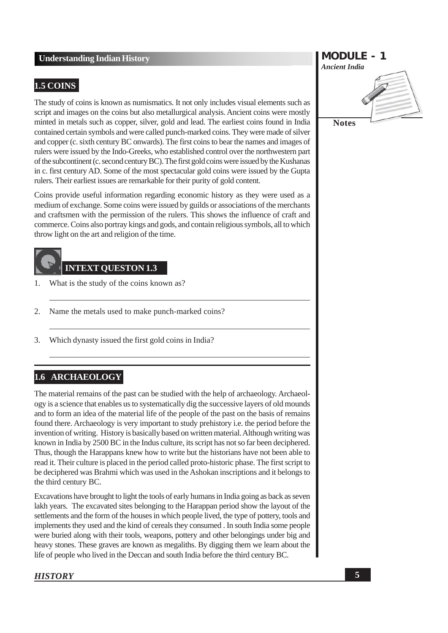#### 1.5 COINS

The study of coins is known as numismatics. It not only includes visual elements such as script and images on the coins but also metallurgical analysis. Ancient coins were mostly minted in metals such as copper, silver, gold and lead. The earliest coins found in India contained certain symbols and were called punch-marked coins. They were made of silver and copper (c. sixth century BC onwards). The first coins to bear the names and images of rulers were issued by the Indo-Greeks, who established control over the northwestern part of the subcontinent (c. second century BC). The first gold coins were issued by the Kushanas in c. first century AD. Some of the most spectacular gold coins were issued by the Gupta rulers. Their earliest issues are remarkable for their purity of gold content.

Coins provide useful information regarding economic history as they were used as a medium of exchange. Some coins were issued by guilds or associations of the merchants and craftsmen with the permission of the rulers. This shows the influence of craft and commerce. Coins also portray kings and gods, and contain religious symbols, all to which throw light on the art and religion of the time.

## **INTEXT OUESTON 1.3**

- What is the study of the coins known as?  $\mathbf{1}$
- Name the metals used to make punch-marked coins? 2.
- Which dynasty issued the first gold coins in India? 3.

#### 1.6 ARCHAEOLOGY

The material remains of the past can be studied with the help of archaeology. Archaeology is a science that enables us to systematically dig the successive layers of old mounds and to form an idea of the material life of the people of the past on the basis of remains found there. Archaeology is very important to study prehistory i.e. the period before the invention of writing. History is basically based on written material. Although writing was known in India by 2500 BC in the Indus culture, its script has not so far been deciphered. Thus, though the Harappans knew how to write but the historians have not been able to read it. Their culture is placed in the period called proto-historic phase. The first script to be deciphered was Brahmi which was used in the Ashokan inscriptions and it belongs to the third century BC.

Excavations have brought to light the tools of early humans in India going as back as seven lakh years. The excavated sites belonging to the Harappan period show the layout of the settlements and the form of the houses in which people lived, the type of pottery, tools and implements they used and the kind of cereals they consumed. In south India some people were buried along with their tools, weapons, pottery and other belongings under big and heavy stones. These graves are known as megaliths. By digging them we learn about the life of people who lived in the Deccan and south India before the third century BC.

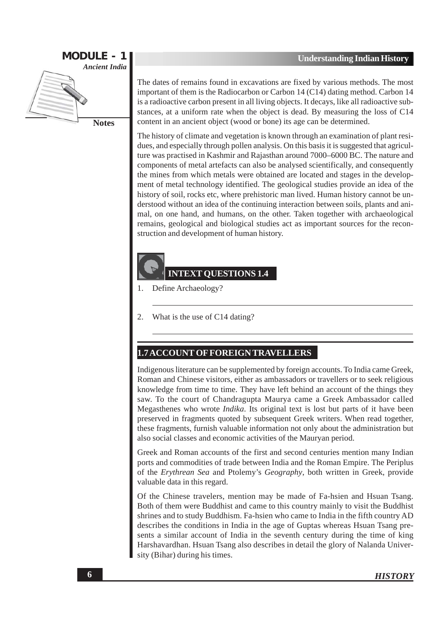

**Notes** 

The dates of remains found in excavations are fixed by various methods. The most important of them is the Radiocarbon or Carbon 14 (C14) dating method. Carbon 14 is a radioactive carbon present in all living objects. It decays, like all radioactive substances, at a uniform rate when the object is dead. By measuring the loss of C14 content in an ancient object (wood or bone) its age can be determined.

The history of climate and vegetation is known through an examination of plant residues, and especially through pollen analysis. On this basis it is suggested that agriculture was practised in Kashmir and Rajasthan around 7000–6000 BC. The nature and components of metal artefacts can also be analysed scientifically, and consequently the mines from which metals were obtained are located and stages in the development of metal technology identified. The geological studies provide an idea of the history of soil, rocks etc, where prehistoric man lived. Human history cannot be understood without an idea of the continuing interaction between soils, plants and animal, on one hand, and humans, on the other. Taken together with archaeological remains, geological and biological studies act as important sources for the reconstruction and development of human history.

#### **INTEXT QUESTIONS 1.4**

- Define Archaeology?  $\mathbf{1}$
- $\overline{2}$ . What is the use of C14 dating?

#### **1.7 ACCOUNT OF FOREIGN TRAVELLERS**

Indigenous literature can be supplemented by foreign accounts. To India came Greek, Roman and Chinese visitors, either as ambassadors or travellers or to seek religious knowledge from time to time. They have left behind an account of the things they saw. To the court of Chandragupta Maurya came a Greek Ambassador called Megasthenes who wrote *Indika*. Its original text is lost but parts of it have been preserved in fragments quoted by subsequent Greek writers. When read together, these fragments, furnish valuable information not only about the administration but also social classes and economic activities of the Mauryan period.

Greek and Roman accounts of the first and second centuries mention many Indian ports and commodities of trade between India and the Roman Empire. The Periplus of the *Erythrean Sea* and Ptolemy's *Geography*, both written in Greek, provide valuable data in this regard.

Of the Chinese travelers, mention may be made of Fa-hsien and Hsuan Tsang. Both of them were Buddhist and came to this country mainly to visit the Buddhist shrines and to study Buddhism. Fa-hsien who came to India in the fifth country AD describes the conditions in India in the age of Guptas whereas Hsuan Tsang presents a similar account of India in the seventh century during the time of king Harshavardhan. Hsuan Tsang also describes in detail the glory of Nalanda University (Bihar) during his times.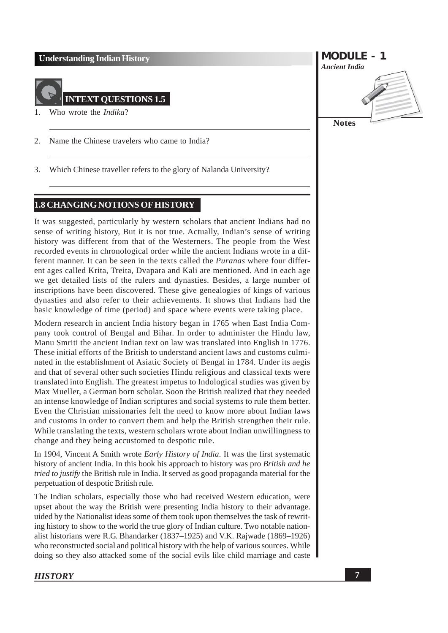

- Who wrote the *Indika*?  $\mathbf{1}$
- 2. Name the Chinese travelers who came to India?
- Which Chinese traveller refers to the glory of Nalanda University? 3.

#### 1.8 CHANGING NOTIONS OF HISTORY

It was suggested, particularly by western scholars that ancient Indians had no sense of writing history, But it is not true. Actually, Indian's sense of writing history was different from that of the Westerners. The people from the West recorded events in chronological order while the ancient Indians wrote in a different manner. It can be seen in the texts called the *Puranas* where four different ages called Krita, Treita, Dvapara and Kali are mentioned. And in each age we get detailed lists of the rulers and dynasties. Besides, a large number of inscriptions have been discovered. These give genealogies of kings of various dynasties and also refer to their achievements. It shows that Indians had the basic knowledge of time (period) and space where events were taking place.

Modern research in ancient India history began in 1765 when East India Company took control of Bengal and Bihar. In order to administer the Hindu law, Manu Smriti the ancient Indian text on law was translated into English in 1776. These initial efforts of the British to understand ancient laws and customs culminated in the establishment of Asiatic Society of Bengal in 1784. Under its aegis and that of several other such societies Hindu religious and classical texts were translated into English. The greatest impetus to Indological studies was given by Max Mueller, a German born scholar. Soon the British realized that they needed an intense knowledge of Indian scriptures and social systems to rule them better. Even the Christian missionaries felt the need to know more about Indian laws and customs in order to convert them and help the British strengthen their rule. While translating the texts, western scholars wrote about Indian unwillingness to change and they being accustomed to despotic rule.

In 1904, Vincent A Smith wrote Early History of India. It was the first systematic history of ancient India. In this book his approach to history was pro British and he tried to justify the British rule in India. It served as good propaganda material for the perpetuation of despotic British rule.

The Indian scholars, especially those who had received Western education, were upset about the way the British were presenting India history to their advantage. uided by the Nationalist ideas some of them took upon themselves the task of rewriting history to show to the world the true glory of Indian culture. Two notable nationalist historians were R.G. Bhandarker (1837–1925) and V.K. Rajwade (1869–1926) who reconstructed social and political history with the help of various sources. While doing so they also attacked some of the social evils like child marriage and caste

**MODULE - 1 Ancient India Notes**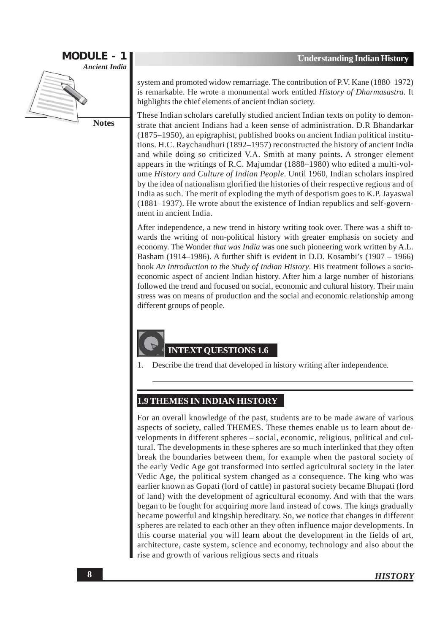

system and promoted widow remarriage. The contribution of P.V. Kane (1880–1972) is remarkable. He wrote a monumental work entitled *History of Dharmasastra*. It highlights the chief elements of ancient Indian society.

These Indian scholars carefully studied ancient Indian texts on polity to demonstrate that ancient Indians had a keen sense of administration. D.R Bhandarkar (1875–1950), an epigraphist, published books on ancient Indian political institutions. H.C. Raychaudhuri (1892–1957) reconstructed the history of ancient India and while doing so criticized V.A. Smith at many points. A stronger element appears in the writings of R.C. Majumdar (1888–1980) who edited a multi-volume History and Culture of Indian People. Until 1960, Indian scholars inspired by the idea of nationalism glorified the histories of their respective regions and of India as such. The merit of exploding the myth of despotism goes to K.P. Jayaswal  $(1881-1937)$ . He wrote about the existence of Indian republics and self-government in ancient India.

After independence, a new trend in history writing took over. There was a shift towards the writing of non-political history with greater emphasis on society and economy. The Wonder that was India was one such pioneering work written by A.L. Basham (1914–1986). A further shift is evident in D.D. Kosambi's (1907 – 1966) book An Introduction to the Study of Indian History. His treatment follows a socioeconomic aspect of ancient Indian history. After him a large number of historians followed the trend and focused on social, economic and cultural history. Their main stress was on means of production and the social and economic relationship among different groups of people.

#### **INTEXT OUESTIONS 1.6**

Describe the trend that developed in history writing after independence.

#### **1.9 THEMES IN INDIAN HISTORY**

For an overall knowledge of the past, students are to be made aware of various aspects of society, called THEMES. These themes enable us to learn about developments in different spheres – social, economic, religious, political and cultural. The developments in these spheres are so much interlinked that they often break the boundaries between them, for example when the pastoral society of the early Vedic Age got transformed into settled agricultural society in the later Vedic Age, the political system changed as a consequence. The king who was earlier known as Gopati (lord of cattle) in pastoral society became Bhupati (lord of land) with the development of agricultural economy. And with that the wars began to be fought for acquiring more land instead of cows. The kings gradually became powerful and kingship hereditary. So, we notice that changes in different spheres are related to each other an they often influence major developments. In this course material you will learn about the development in the fields of art, architecture, caste system, science and economy, technology and also about the rise and growth of various religious sects and rituals